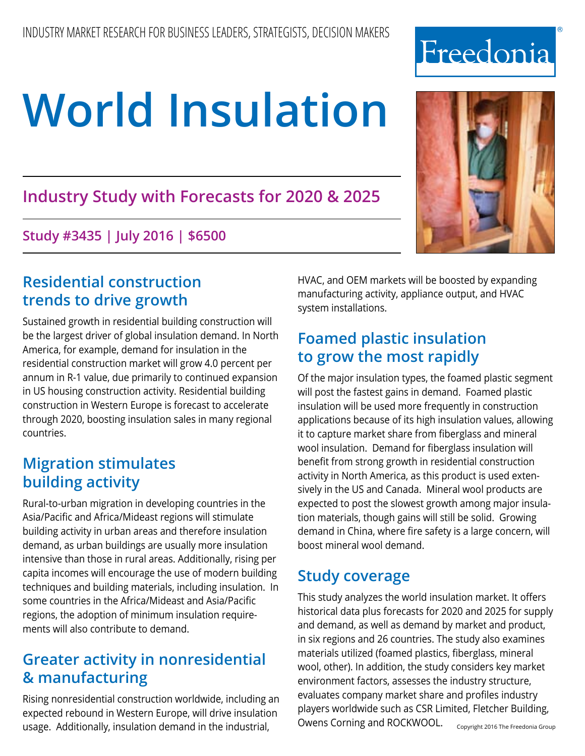## **Industry Study with Forecasts for 2020 & 2025**

**Study #3435 | July 2016 | \$6500**

Freedonia

## **Residential construction trends to drive growth**

Sustained growth in residential building construction will be the largest driver of global insulation demand. In North America, for example, demand for insulation in the residential construction market will grow 4.0 percent per annum in R-1 value, due primarily to continued expansion in US housing construction activity. Residential building construction in Western Europe is forecast to accelerate through 2020, boosting insulation sales in many regional countries.

## **Migration stimulates building activity**

Rural-to-urban migration in developing countries in the Asia/Pacific and Africa/Mideast regions will stimulate building activity in urban areas and therefore insulation demand, as urban buildings are usually more insulation intensive than those in rural areas. Additionally, rising per capita incomes will encourage the use of modern building techniques and building materials, including insulation. In some countries in the Africa/Mideast and Asia/Pacific regions, the adoption of minimum insulation requirements will also contribute to demand.

## **Greater activity in nonresidential & manufacturing**

Rising nonresidential construction worldwide, including an expected rebound in Western Europe, will drive insulation usage. Additionally, insulation demand in the industrial,

HVAC, and OEM markets will be boosted by expanding manufacturing activity, appliance output, and HVAC system installations.

## **Foamed plastic insulation to grow the most rapidly**

Of the major insulation types, the foamed plastic segment will post the fastest gains in demand. Foamed plastic insulation will be used more frequently in construction applications because of its high insulation values, allowing it to capture market share from fiberglass and mineral wool insulation. Demand for fiberglass insulation will benefit from strong growth in residential construction activity in North America, as this product is used extensively in the US and Canada. Mineral wool products are expected to post the slowest growth among major insulation materials, though gains will still be solid. Growing demand in China, where fire safety is a large concern, will boost mineral wool demand.

## **Study coverage**

This study analyzes the world insulation market. It offers historical data plus forecasts for 2020 and 2025 for supply and demand, as well as demand by market and product, in six regions and 26 countries. The study also examines materials utilized (foamed plastics, fiberglass, mineral wool, other). In addition, the study considers key market environment factors, assesses the industry structure, evaluates company market share and profiles industry players worldwide such as CSR Limited, Fletcher Building, Owens Corning and ROCKWOOL. Copyright 2016 The Freedonia Group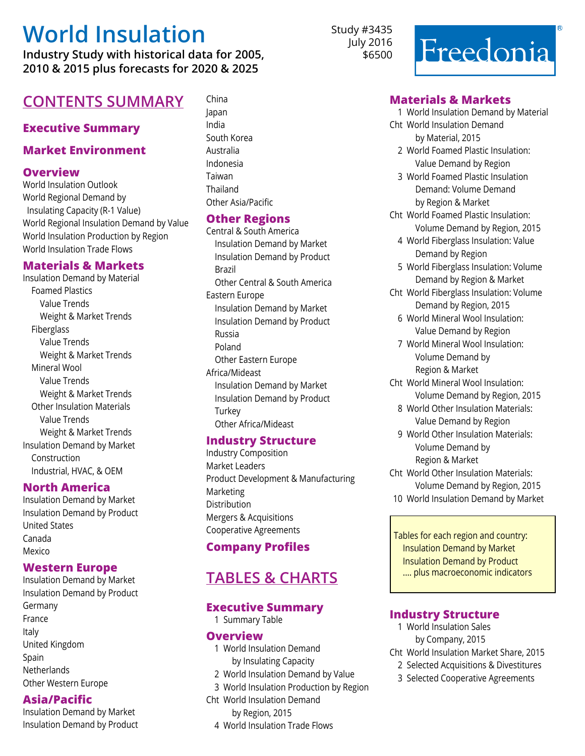**Industry Study with historical data for 2005, 2010 & 2015 plus forecasts for 2020 & 2025**

## **CONTENTS SUMMARY** China

## **Executive Summary**

## **Market Environment**

#### **Overview**

World Insulation Outlook World Regional Demand by Insulating Capacity (R-1 Value) World Regional Insulation Demand by Value World Insulation Production by Region World Insulation Trade Flows

#### **Materials & Markets**

Insulation Demand by Material Foamed Plastics Value Trends Weight & Market Trends Fiberglass Value Trends Weight & Market Trends Mineral Wool Value Trends Weight & Market Trends Other Insulation Materials Value Trends Weight & Market Trends Insulation Demand by Market Construction Industrial, HVAC, & OEM

#### **North America**

Insulation Demand by Market Insulation Demand by Product United States Canada Mexico

#### **Western Europe**

Insulation Demand by Market Insulation Demand by Product Germany France Italy United Kingdom Spain **Netherlands** Other Western Europe

## **Asia/Pacific**

Insulation Demand by Market Insulation Demand by Product Japan India South Korea Australia Indonesia Taiwan Thailand Other Asia/Pacific

## **Other Regions**

Central & South America Insulation Demand by Market Insulation Demand by Product Brazil Other Central & South America Eastern Europe Insulation Demand by Market Insulation Demand by Product Russia Poland Other Eastern Europe Africa/Mideast Insulation Demand by Market Insulation Demand by Product **Turkey** Other Africa/Mideast

#### **Industry Structure**

Industry Composition Market Leaders Product Development & Manufacturing Marketing Distribution Mergers & Acquisitions Cooperative Agreements

## **Company Profiles**

## **Tables & Charts**

#### **Executive Summary**

1 Summary Table

#### **Overview**

- 1 World Insulation Demand by Insulating Capacity
- 2 World Insulation Demand by Value
- 3 World Insulation Production by Region
- Cht World Insulation Demand by Region, 2015
	- 4 World Insulation Trade Flows

Study #3435 July 2016 \$6500



#### **Materials & Markets**

- 1 World Insulation Demand by Material
- Cht World Insulation Demand by Material, 2015
	- 2 World Foamed Plastic Insulation: Value Demand by Region
	- 3 World Foamed Plastic Insulation Demand: Volume Demand by Region & Market
- Cht World Foamed Plastic Insulation: Volume Demand by Region, 2015
	- 4 World Fiberglass Insulation: Value Demand by Region
	- 5 World Fiberglass Insulation: Volume Demand by Region & Market
- Cht World Fiberglass Insulation: Volume Demand by Region, 2015
	- 6 World Mineral Wool Insulation: Value Demand by Region
	- 7 World Mineral Wool Insulation: Volume Demand by Region & Market
- Cht World Mineral Wool Insulation: Volume Demand by Region, 2015
	- 8 World Other Insulation Materials: Value Demand by Region
	- 9 World Other Insulation Materials: Volume Demand by Region & Market
- Cht World Other Insulation Materials: Volume Demand by Region, 2015 10 World Insulation Demand by Market

 Tables for each region and country: Insulation Demand by Market Insulation Demand by Product .... plus macroeconomic indicators

#### **Industry Structure**

- 1 World Insulation Sales by Company, 2015
- Cht World Insulation Market Share, 2015
	- 2 Selected Acquisitions & Divestitures
	- 3 Selected Cooperative Agreements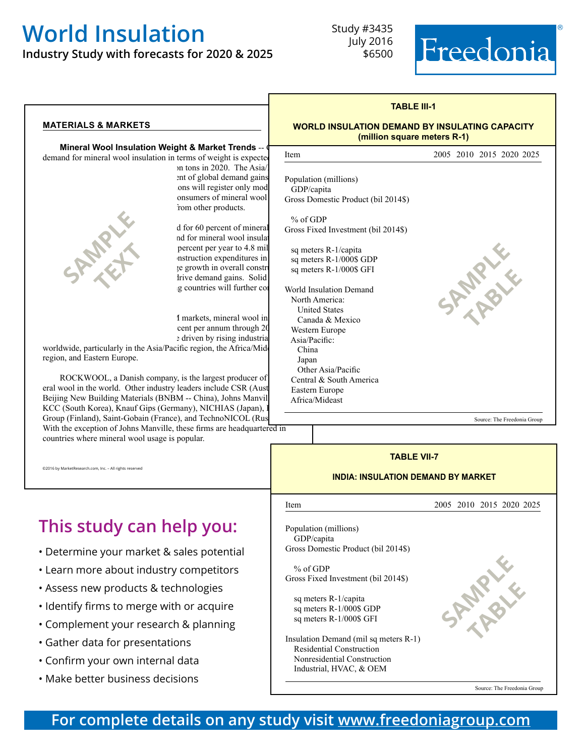**Industry Study with forecasts for 2020 & 2025**

Study #3435 July 2016 \$6500



|                                                                                                                                                                                                                                                                                                                               | <b>TABLE III-1</b>                                                                                                                                                                                                                                                                                                                                    |
|-------------------------------------------------------------------------------------------------------------------------------------------------------------------------------------------------------------------------------------------------------------------------------------------------------------------------------|-------------------------------------------------------------------------------------------------------------------------------------------------------------------------------------------------------------------------------------------------------------------------------------------------------------------------------------------------------|
| <b>MATERIALS &amp; MARKETS</b>                                                                                                                                                                                                                                                                                                | <b>WORLD INSULATION DEMAND BY INSULATING CAPACITY</b><br>(million square meters R-1)                                                                                                                                                                                                                                                                  |
| Mineral Wool Insulation Weight & Market Trends -- 0<br>demand for mineral wool insulation in terms of weight is expected                                                                                                                                                                                                      | 2005 2010 2015 2020 2025<br>Item                                                                                                                                                                                                                                                                                                                      |
| on tons in 2020. The Asia/<br>ent of global demand gains<br>ons will register only mod<br>onsumers of mineral wool<br>rom other products.<br>SAMAN<br>d for 60 percent of mineral<br>nd for mineral wool insulat<br>percent per year to 4.8 mil<br>nstruction expenditures in                                                 | Population (millions)<br>GDP/capita<br>Gross Domestic Product (bil 2014\$)<br>% of GDP<br>Gross Fixed Investment (bil 2014\$)<br>sq meters R-1/capita<br>sq meters R-1/000\$ GDP                                                                                                                                                                      |
| te growth in overall constru<br>lrive demand gains. Solid<br>g countries will further cor                                                                                                                                                                                                                                     | SPAIRLE<br>sq meters R-1/000\$ GFI<br>World Insulation Demand<br>North America:<br><b>United States</b>                                                                                                                                                                                                                                               |
| I markets, mineral wool in<br>cent per annum through 20<br>e driven by rising industria<br>worldwide, particularly in the Asia/Pacific region, the Africa/Mid<br>region, and Eastern Europe.                                                                                                                                  | Canada & Mexico<br>Western Europe<br>Asia/Pacific:<br>China<br>Japan<br>Other Asia/Pacific                                                                                                                                                                                                                                                            |
| ROCKWOOL, a Danish company, is the largest producer of<br>eral wool in the world. Other industry leaders include CSR (Aust<br>Beijing New Building Materials (BNBM -- China), Johns Manvil<br>KCC (South Korea), Knauf Gips (Germany), NICHIAS (Japan), 1<br>Group (Finland), Saint-Gobain (France), and TechnoNICOL (Rus     | Central & South America<br>Eastern Europe<br>Africa/Mideast                                                                                                                                                                                                                                                                                           |
| With the exception of Johns Manville, these firms are headquartered in<br>countries where mineral wool usage is popular.                                                                                                                                                                                                      | Source: The Freedonia Group                                                                                                                                                                                                                                                                                                                           |
| @2016 by MarketResearch.com, Inc. - All rights reserved                                                                                                                                                                                                                                                                       | <b>TABLE VII-7</b><br><b>INDIA: INSULATION DEMAND BY MARKET</b>                                                                                                                                                                                                                                                                                       |
|                                                                                                                                                                                                                                                                                                                               | 2005 2010 2015 2020 2025<br>Item                                                                                                                                                                                                                                                                                                                      |
| This study can help you:                                                                                                                                                                                                                                                                                                      | Population (millions)<br>GDP/capita                                                                                                                                                                                                                                                                                                                   |
| • Determine your market & sales potential<br>• Learn more about industry competitors<br>· Assess new products & technologies<br>• Identify firms to merge with or acquire<br>• Complement your research & planning<br>• Gather data for presentations<br>• Confirm your own internal data<br>· Make better business decisions | Gross Domestic Product (bil 2014\$)<br>% of GDP<br>SPAINELE<br>Gross Fixed Investment (bil 2014\$)<br>sq meters R-1/capita<br>sq meters R-1/000\$ GDP<br>sq meters R-1/000\$ GFI<br>Insulation Demand (mil sq meters R-1)<br><b>Residential Construction</b><br>Nonresidential Construction<br>Industrial, HVAC, & OEM<br>Source: The Freedonia Group |

**For complete details on any study visit [www.freedoniagroup.com](http://www.freedoniagroup.com/Home.aspx?ReferrerId=FM-BRO)**